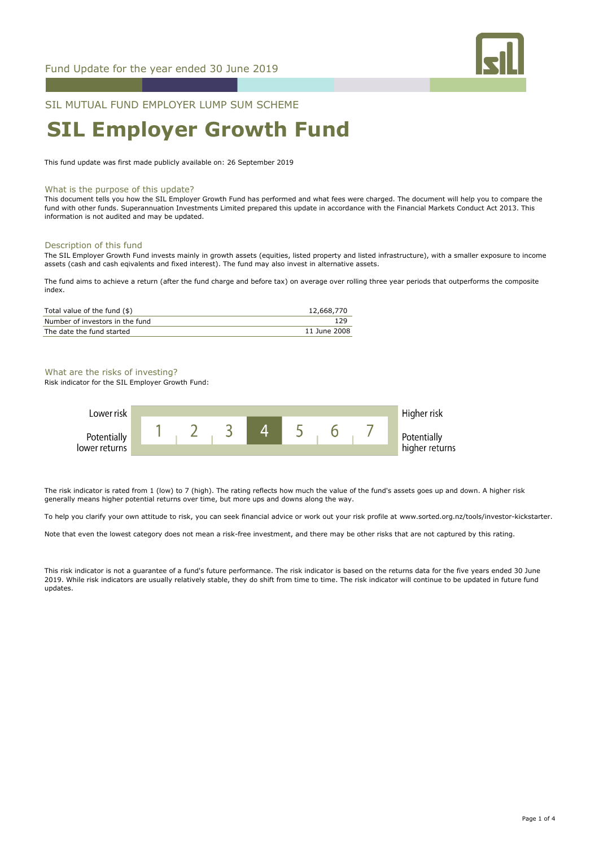

SIL MUTUAL FUND EMPLOYER LUMP SUM SCHEME

# **SIL Employer Growth Fund**

This fund update was first made publicly available on: 26 September 2019

#### What is the purpose of this update?

This document tells you how the SIL Employer Growth Fund has performed and what fees were charged. The document will help you to compare the fund with other funds. Superannuation Investments Limited prepared this update in accordance with the Financial Markets Conduct Act 2013. This information is not audited and may be updated.

#### Description of this fund

The SIL Employer Growth Fund invests mainly in growth assets (equities, listed property and listed infrastructure), with a smaller exposure to income assets (cash and cash eqivalents and fixed interest). The fund may also invest in alternative assets.

The fund aims to achieve a return (after the fund charge and before tax) on average over rolling three year periods that outperforms the composite index.

| Total value of the fund $(\$)$  | 12,668,770   |
|---------------------------------|--------------|
| Number of investors in the fund | 129          |
| The date the fund started       | 11 June 2008 |

#### What are the risks of investing?

Risk indicator for the SIL Employer Growth Fund:



The risk indicator is rated from 1 (low) to 7 (high). The rating reflects how much the value of the fund's assets goes up and down. A higher risk generally means higher potential returns over time, but more ups and downs along the way.

To help you clarify your own attitude to risk, you can seek financial advice or work out your risk profile at www.sorted.org.nz/tools/investor-kickstarter.

Note that even the lowest category does not mean a risk-free investment, and there may be other risks that are not captured by this rating.

This risk indicator is not a guarantee of a fund's future performance. The risk indicator is based on the returns data for the five years ended 30 June 2019. While risk indicators are usually relatively stable, they do shift from time to time. The risk indicator will continue to be updated in future fund updates.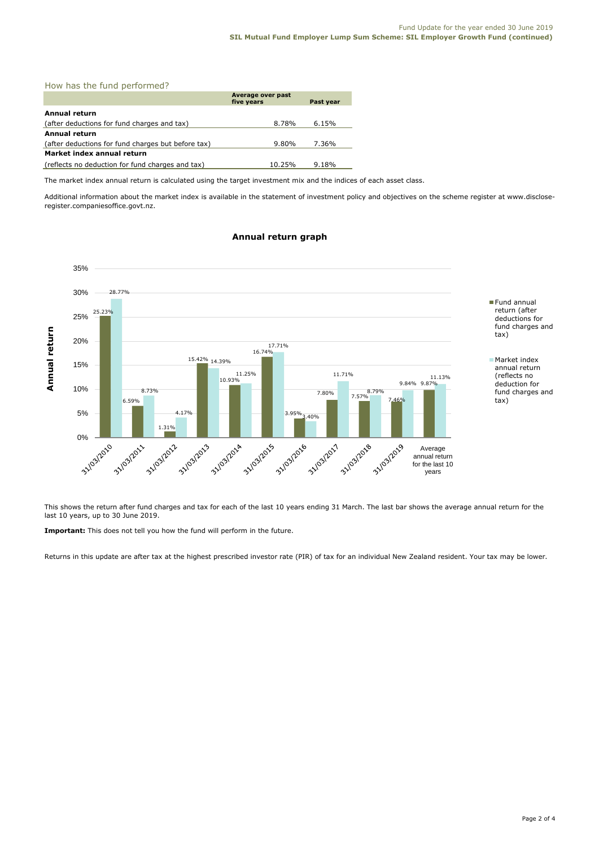| How has the fund performed?                        |                                 |           |  |  |
|----------------------------------------------------|---------------------------------|-----------|--|--|
|                                                    | Average over past<br>five years | Past year |  |  |
| Annual return                                      |                                 |           |  |  |
| (after deductions for fund charges and tax)        | 8.78%                           | 6.15%     |  |  |
| <b>Annual return</b>                               |                                 |           |  |  |
| (after deductions for fund charges but before tax) | 9.80%                           | 7.36%     |  |  |
| Market index annual return                         |                                 |           |  |  |
| (reflects no deduction for fund charges and tax)   | 10.25%                          | 9.18%     |  |  |

The market index annual return is calculated using the target investment mix and the indices of each asset class.

Additional information about the market index is available in the statement of investment policy and objectives on the scheme register at www.discloseregister.companiesoffice.govt.nz.

# **Annual return graph**



This shows the return after fund charges and tax for each of the last 10 years ending 31 March. The last bar shows the average annual return for the last 10 years, up to 30 June 2019.

**Important:** This does not tell you how the fund will perform in the future.

Returns in this update are after tax at the highest prescribed investor rate (PIR) of tax for an individual New Zealand resident. Your tax may be lower.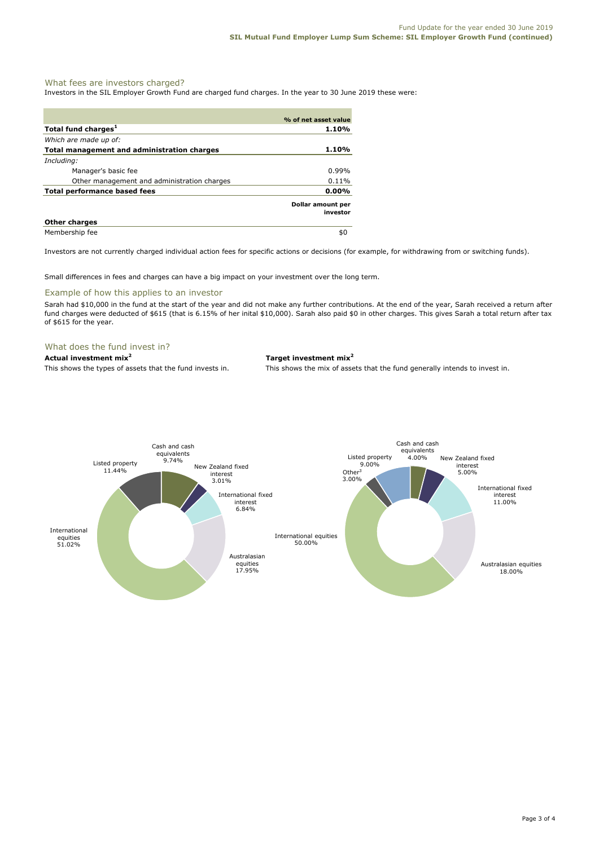### What fees are investors charged?

Investors in the SIL Employer Growth Fund are charged fund charges. In the year to 30 June 2019 these were:

|                                             | % of net asset value          |
|---------------------------------------------|-------------------------------|
| Total fund charges <sup>1</sup>             | 1.10%                         |
| Which are made up of:                       |                               |
| Total management and administration charges | 1.10%                         |
| Including:                                  |                               |
| Manager's basic fee                         | $0.99\%$                      |
| Other management and administration charges | 0.11%                         |
| Total performance based fees                | $0.00\%$                      |
|                                             | Dollar amount per<br>investor |
| <b>Other charges</b>                        |                               |
| Membership fee                              | \$0                           |

Investors are not currently charged individual action fees for specific actions or decisions (for example, for withdrawing from or switching funds).

Small differences in fees and charges can have a big impact on your investment over the long term.

#### Example of how this applies to an investor

Sarah had \$10,000 in the fund at the start of the year and did not make any further contributions. At the end of the year, Sarah received a return after fund charges were deducted of \$615 (that is 6.15% of her inital \$10,000). Sarah also paid \$0 in other charges. This gives Sarah a total return after tax of \$615 for the year.

#### What does the fund invest in?

#### **Actual investment mix<sup>2</sup> Target investment mix<sup>2</sup>**

This shows the types of assets that the fund invests in. This shows the mix of assets that the fund generally intends to invest in.